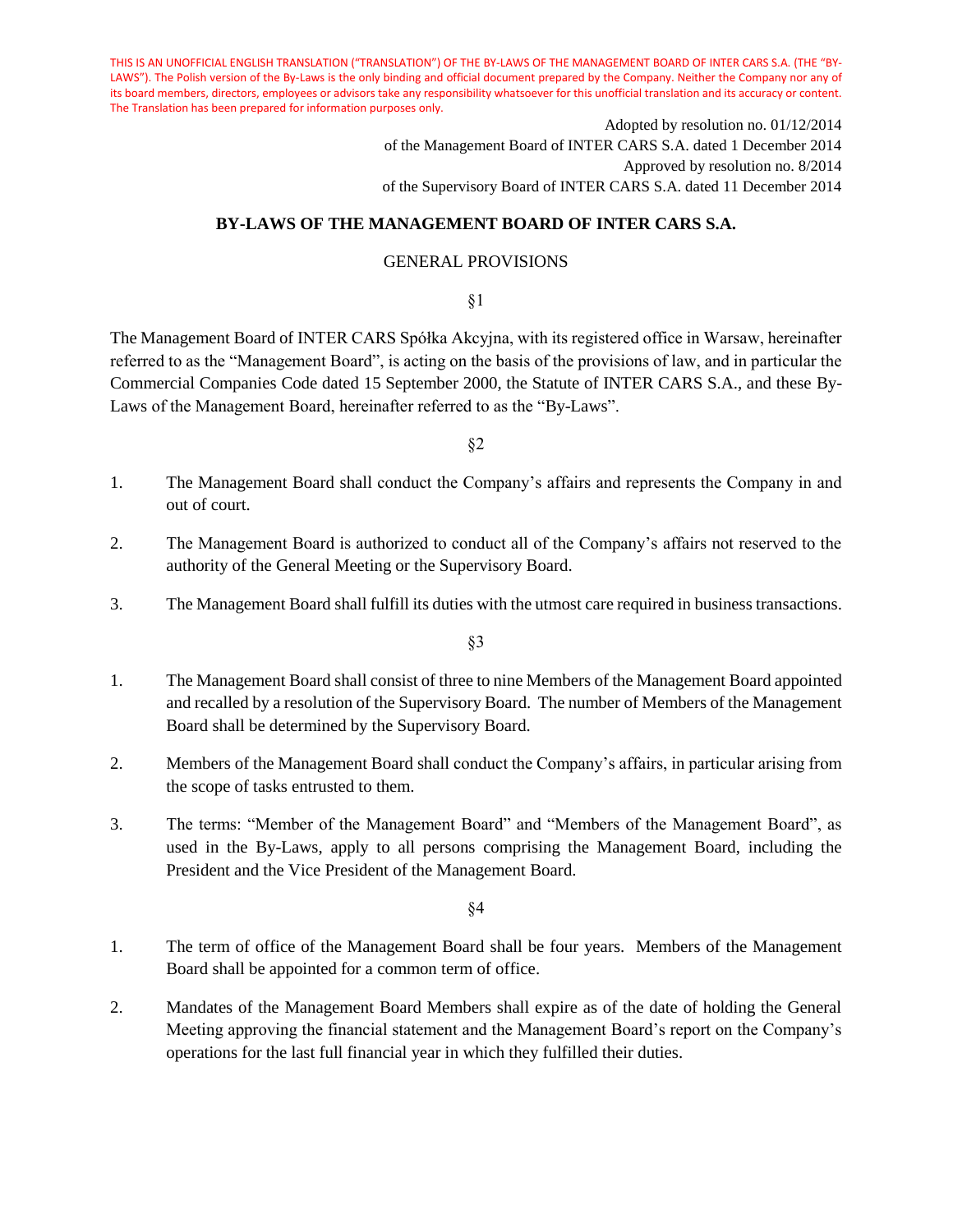> Adopted by resolution no. 01/12/2014 of the Management Board of INTER CARS S.A. dated 1 December 2014 Approved by resolution no. 8/2014 of the Supervisory Board of INTER CARS S.A. dated 11 December 2014

## **BY-LAWS OF THE MANAGEMENT BOARD OF INTER CARS S.A.**

# GENERAL PROVISIONS

§1

The Management Board of INTER CARS Spółka Akcyjna, with its registered office in Warsaw, hereinafter referred to as the "Management Board", is acting on the basis of the provisions of law, and in particular the Commercial Companies Code dated 15 September 2000, the Statute of INTER CARS S.A., and these By-Laws of the Management Board, hereinafter referred to as the "By-Laws".

§2

- 1. The Management Board shall conduct the Company's affairs and represents the Company in and out of court.
- 2. The Management Board is authorized to conduct all of the Company's affairs not reserved to the authority of the General Meeting or the Supervisory Board.
- 3. The Management Board shall fulfill its duties with the utmost care required in business transactions.

§3

- 1. The Management Board shall consist of three to nine Members of the Management Board appointed and recalled by a resolution of the Supervisory Board. The number of Members of the Management Board shall be determined by the Supervisory Board.
- 2. Members of the Management Board shall conduct the Company's affairs, in particular arising from the scope of tasks entrusted to them.
- 3. The terms: "Member of the Management Board" and "Members of the Management Board", as used in the By-Laws, apply to all persons comprising the Management Board, including the President and the Vice President of the Management Board.

- 1. The term of office of the Management Board shall be four years. Members of the Management Board shall be appointed for a common term of office.
- 2. Mandates of the Management Board Members shall expire as of the date of holding the General Meeting approving the financial statement and the Management Board's report on the Company's operations for the last full financial year in which they fulfilled their duties.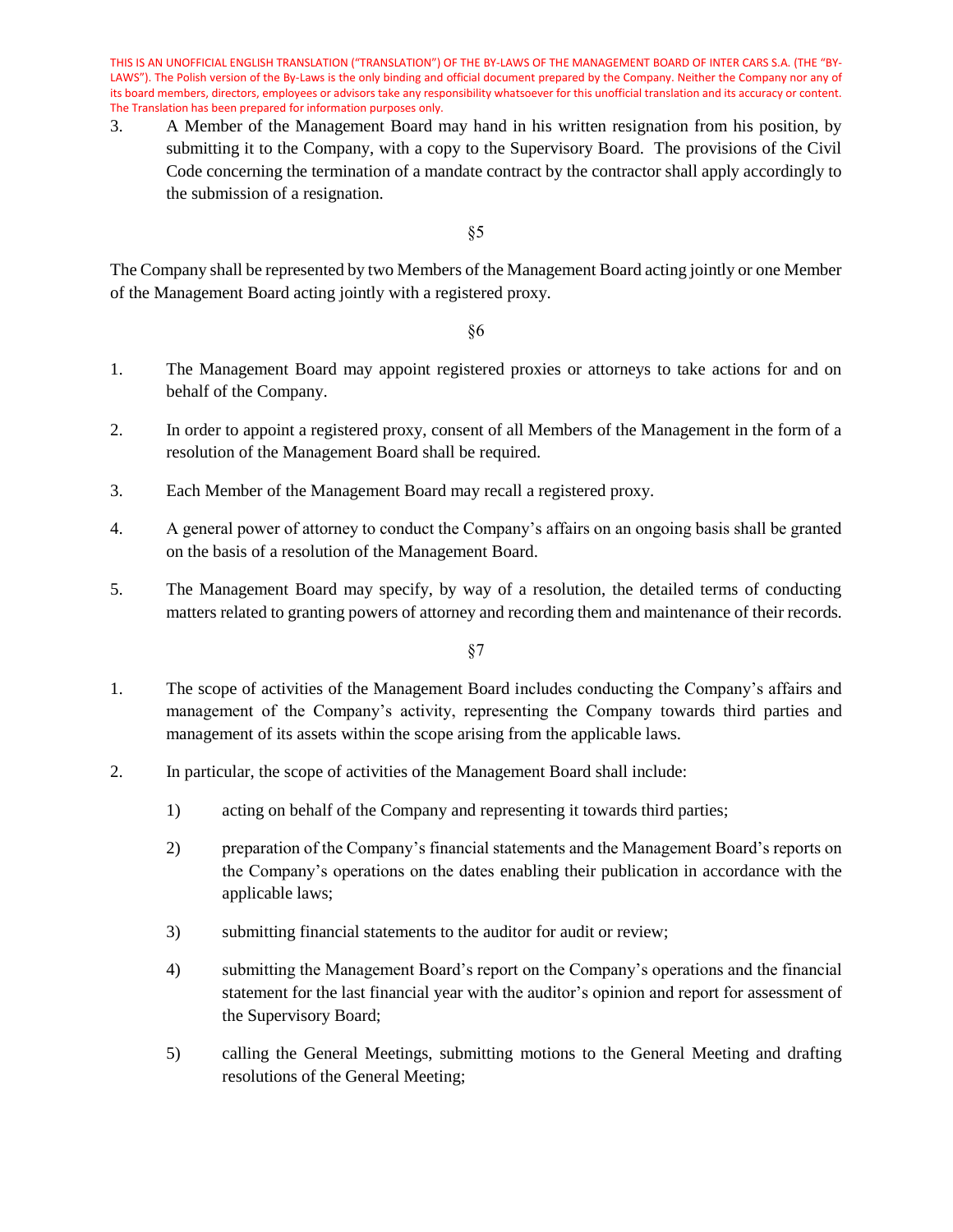3. A Member of the Management Board may hand in his written resignation from his position, by submitting it to the Company, with a copy to the Supervisory Board. The provisions of the Civil Code concerning the termination of a mandate contract by the contractor shall apply accordingly to the submission of a resignation.

§5

The Company shall be represented by two Members of the Management Board acting jointly or one Member of the Management Board acting jointly with a registered proxy.

§6

- 1. The Management Board may appoint registered proxies or attorneys to take actions for and on behalf of the Company.
- 2. In order to appoint a registered proxy, consent of all Members of the Management in the form of a resolution of the Management Board shall be required.
- 3. Each Member of the Management Board may recall a registered proxy.
- 4. A general power of attorney to conduct the Company's affairs on an ongoing basis shall be granted on the basis of a resolution of the Management Board.
- 5. The Management Board may specify, by way of a resolution, the detailed terms of conducting matters related to granting powers of attorney and recording them and maintenance of their records.

- 1. The scope of activities of the Management Board includes conducting the Company's affairs and management of the Company's activity, representing the Company towards third parties and management of its assets within the scope arising from the applicable laws.
- 2. In particular, the scope of activities of the Management Board shall include:
	- 1) acting on behalf of the Company and representing it towards third parties;
	- 2) preparation of the Company's financial statements and the Management Board's reports on the Company's operations on the dates enabling their publication in accordance with the applicable laws;
	- 3) submitting financial statements to the auditor for audit or review;
	- 4) submitting the Management Board's report on the Company's operations and the financial statement for the last financial year with the auditor's opinion and report for assessment of the Supervisory Board;
	- 5) calling the General Meetings, submitting motions to the General Meeting and drafting resolutions of the General Meeting;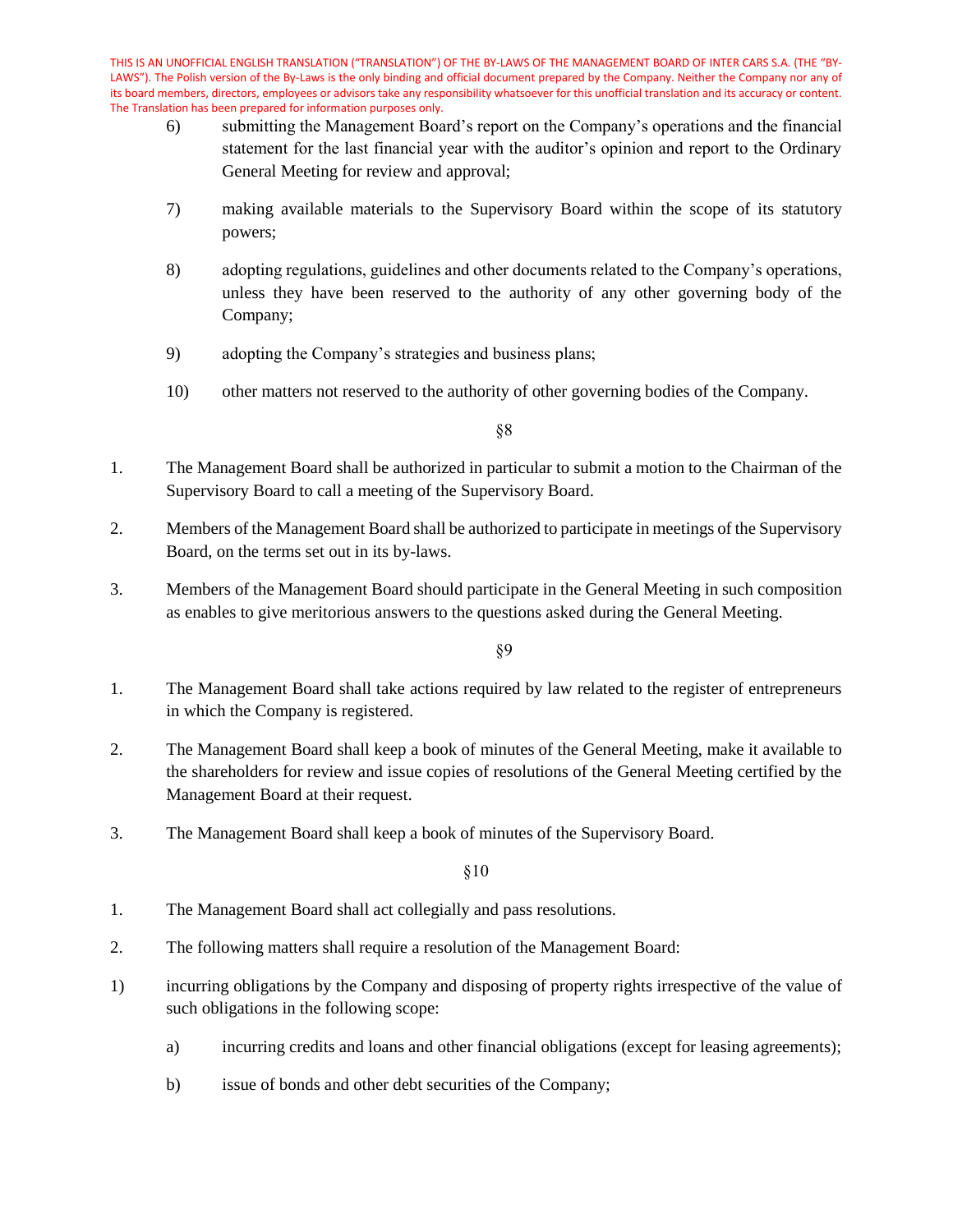- 6) submitting the Management Board's report on the Company's operations and the financial statement for the last financial year with the auditor's opinion and report to the Ordinary General Meeting for review and approval;
- 7) making available materials to the Supervisory Board within the scope of its statutory powers;
- 8) adopting regulations, guidelines and other documents related to the Company's operations, unless they have been reserved to the authority of any other governing body of the Company;
- 9) adopting the Company's strategies and business plans;
- 10) other matters not reserved to the authority of other governing bodies of the Company.

§8

- 1. The Management Board shall be authorized in particular to submit a motion to the Chairman of the Supervisory Board to call a meeting of the Supervisory Board.
- 2. Members of the Management Board shall be authorized to participate in meetings of the Supervisory Board, on the terms set out in its by-laws.
- 3. Members of the Management Board should participate in the General Meeting in such composition as enables to give meritorious answers to the questions asked during the General Meeting.

§9

- 1. The Management Board shall take actions required by law related to the register of entrepreneurs in which the Company is registered.
- 2. The Management Board shall keep a book of minutes of the General Meeting, make it available to the shareholders for review and issue copies of resolutions of the General Meeting certified by the Management Board at their request.
- 3. The Management Board shall keep a book of minutes of the Supervisory Board.

- 1. The Management Board shall act collegially and pass resolutions.
- 2. The following matters shall require a resolution of the Management Board:
- 1) incurring obligations by the Company and disposing of property rights irrespective of the value of such obligations in the following scope:
	- a) incurring credits and loans and other financial obligations (except for leasing agreements);
	- b) issue of bonds and other debt securities of the Company;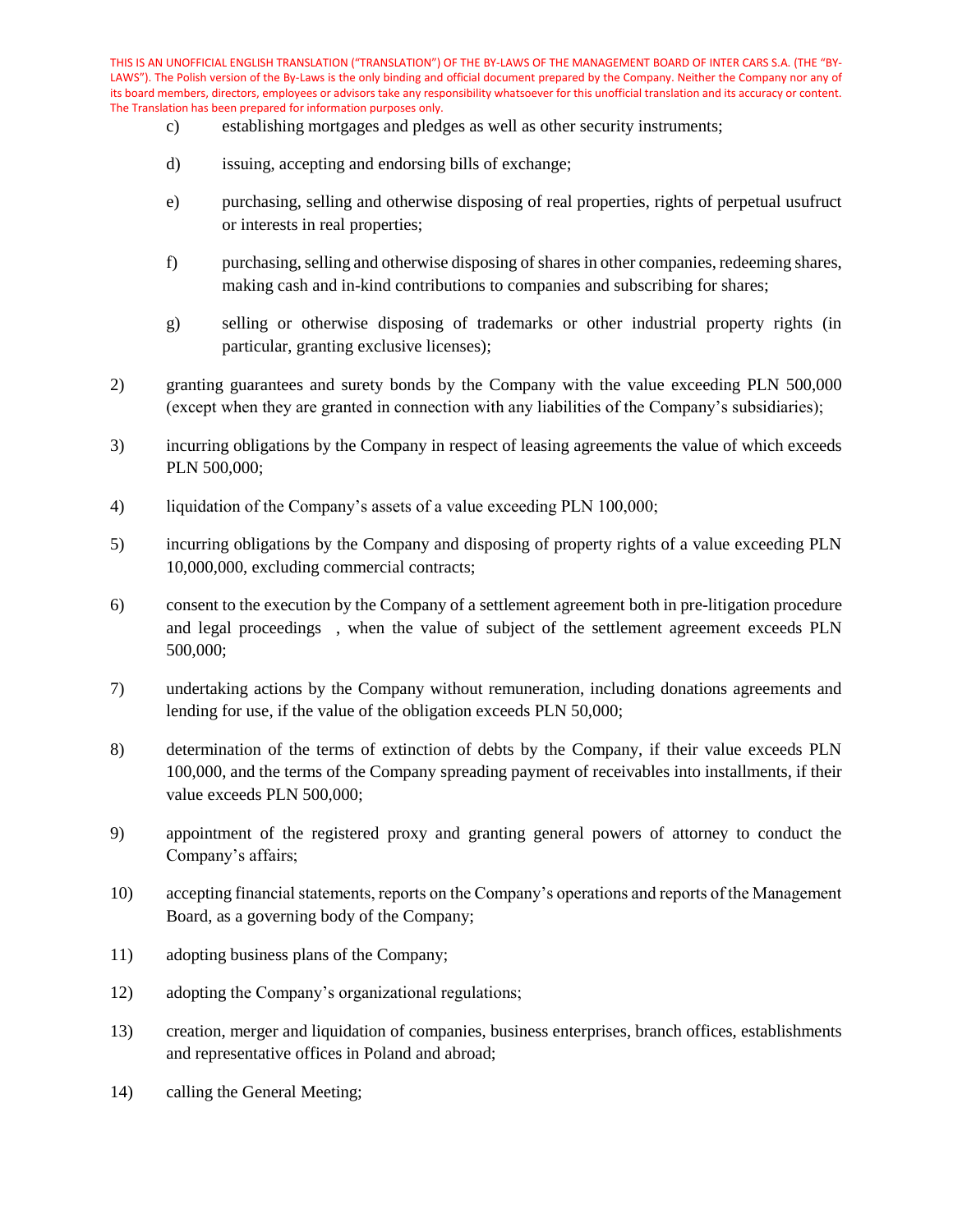- c) establishing mortgages and pledges as well as other security instruments;
- d) issuing, accepting and endorsing bills of exchange;
- e) purchasing, selling and otherwise disposing of real properties, rights of perpetual usufruct or interests in real properties;
- f) purchasing, selling and otherwise disposing of shares in other companies, redeeming shares, making cash and in-kind contributions to companies and subscribing for shares;
- g) selling or otherwise disposing of trademarks or other industrial property rights (in particular, granting exclusive licenses);
- 2) granting guarantees and surety bonds by the Company with the value exceeding PLN 500,000 (except when they are granted in connection with any liabilities of the Company's subsidiaries);
- 3) incurring obligations by the Company in respect of leasing agreements the value of which exceeds PLN 500,000;
- 4) liquidation of the Company's assets of a value exceeding PLN 100,000;
- 5) incurring obligations by the Company and disposing of property rights of a value exceeding PLN 10,000,000, excluding commercial contracts;
- 6) consent to the execution by the Company of a settlement agreement both in pre-litigation procedure and legal proceedings , when the value of subject of the settlement agreement exceeds PLN 500,000;
- 7) undertaking actions by the Company without remuneration, including donations agreements and lending for use, if the value of the obligation exceeds PLN 50,000;
- 8) determination of the terms of extinction of debts by the Company, if their value exceeds PLN 100,000, and the terms of the Company spreading payment of receivables into installments, if their value exceeds PLN 500,000;
- 9) appointment of the registered proxy and granting general powers of attorney to conduct the Company's affairs;
- 10) accepting financial statements, reports on the Company's operations and reports of the Management Board, as a governing body of the Company;
- 11) adopting business plans of the Company;
- 12) adopting the Company's organizational regulations;
- 13) creation, merger and liquidation of companies, business enterprises, branch offices, establishments and representative offices in Poland and abroad;
- 14) calling the General Meeting;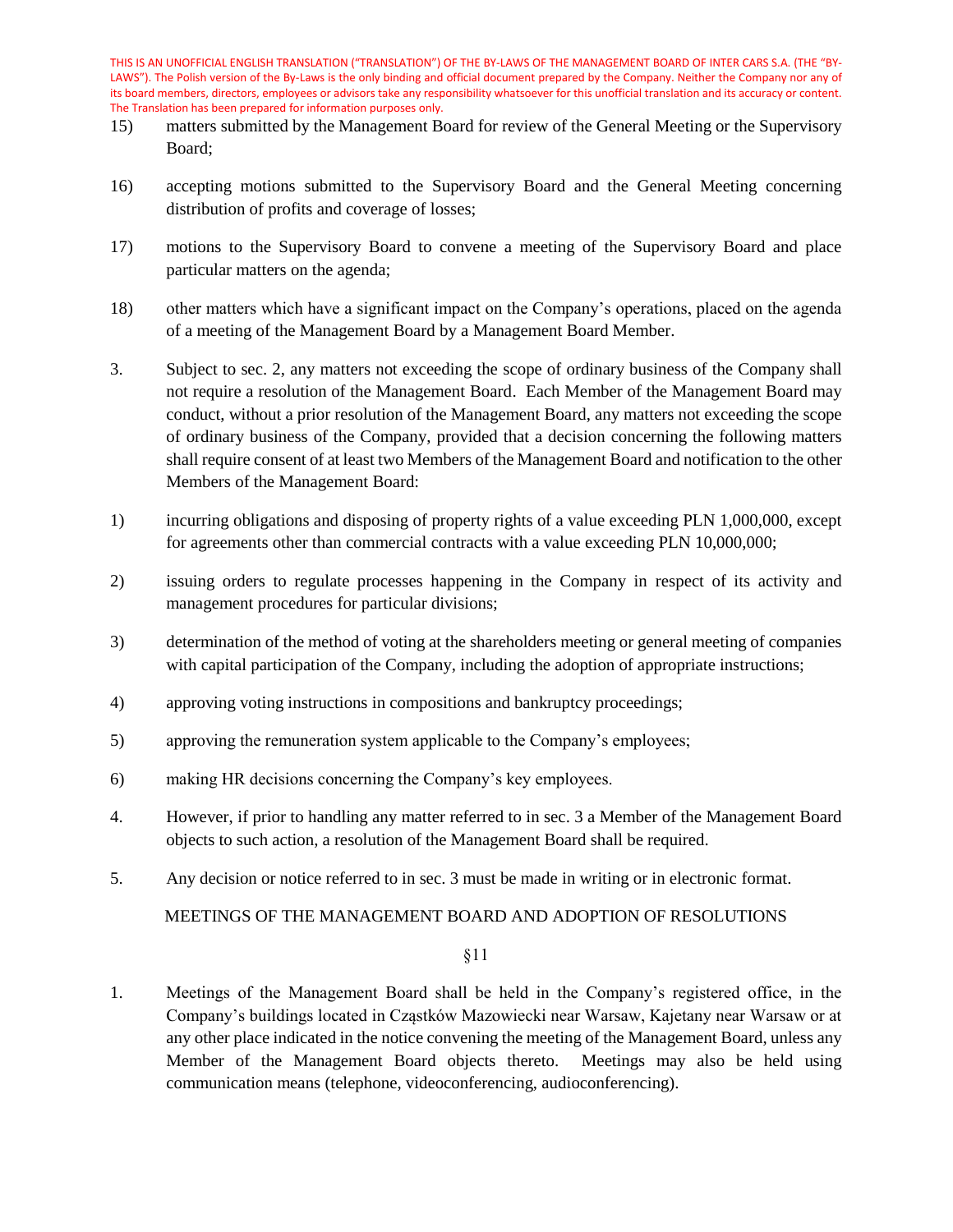- 15) matters submitted by the Management Board for review of the General Meeting or the Supervisory Board;
- 16) accepting motions submitted to the Supervisory Board and the General Meeting concerning distribution of profits and coverage of losses;
- 17) motions to the Supervisory Board to convene a meeting of the Supervisory Board and place particular matters on the agenda;
- 18) other matters which have a significant impact on the Company's operations, placed on the agenda of a meeting of the Management Board by a Management Board Member.
- 3. Subject to sec. 2, any matters not exceeding the scope of ordinary business of the Company shall not require a resolution of the Management Board. Each Member of the Management Board may conduct, without a prior resolution of the Management Board, any matters not exceeding the scope of ordinary business of the Company, provided that a decision concerning the following matters shall require consent of at least two Members of the Management Board and notification to the other Members of the Management Board:
- 1) incurring obligations and disposing of property rights of a value exceeding PLN 1,000,000, except for agreements other than commercial contracts with a value exceeding PLN 10,000,000;
- 2) issuing orders to regulate processes happening in the Company in respect of its activity and management procedures for particular divisions;
- 3) determination of the method of voting at the shareholders meeting or general meeting of companies with capital participation of the Company, including the adoption of appropriate instructions;
- 4) approving voting instructions in compositions and bankruptcy proceedings;
- 5) approving the remuneration system applicable to the Company's employees;
- 6) making HR decisions concerning the Company's key employees.
- 4. However, if prior to handling any matter referred to in sec. 3 a Member of the Management Board objects to such action, a resolution of the Management Board shall be required.
- 5. Any decision or notice referred to in sec. 3 must be made in writing or in electronic format.

MEETINGS OF THE MANAGEMENT BOARD AND ADOPTION OF RESOLUTIONS

§11

1. Meetings of the Management Board shall be held in the Company's registered office, in the Company's buildings located in Cząstków Mazowiecki near Warsaw, Kajetany near Warsaw or at any other place indicated in the notice convening the meeting of the Management Board, unless any Member of the Management Board objects thereto. Meetings may also be held using communication means (telephone, videoconferencing, audioconferencing).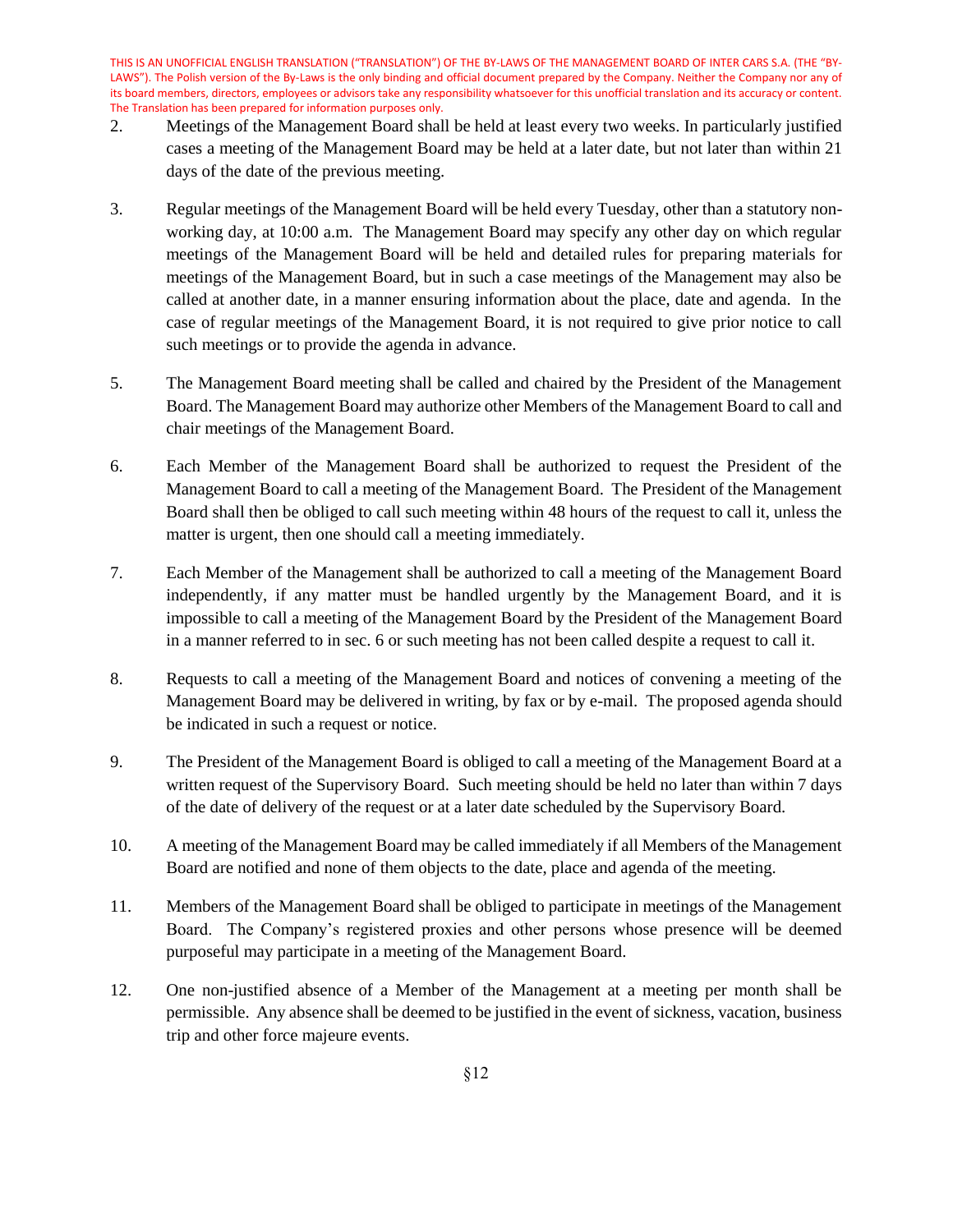- 2. Meetings of the Management Board shall be held at least every two weeks. In particularly justified cases a meeting of the Management Board may be held at a later date, but not later than within 21 days of the date of the previous meeting.
- 3. Regular meetings of the Management Board will be held every Tuesday, other than a statutory nonworking day, at 10:00 a.m. The Management Board may specify any other day on which regular meetings of the Management Board will be held and detailed rules for preparing materials for meetings of the Management Board, but in such a case meetings of the Management may also be called at another date, in a manner ensuring information about the place, date and agenda. In the case of regular meetings of the Management Board, it is not required to give prior notice to call such meetings or to provide the agenda in advance.
- 5. The Management Board meeting shall be called and chaired by the President of the Management Board. The Management Board may authorize other Members of the Management Board to call and chair meetings of the Management Board.
- 6. Each Member of the Management Board shall be authorized to request the President of the Management Board to call a meeting of the Management Board. The President of the Management Board shall then be obliged to call such meeting within 48 hours of the request to call it, unless the matter is urgent, then one should call a meeting immediately.
- 7. Each Member of the Management shall be authorized to call a meeting of the Management Board independently, if any matter must be handled urgently by the Management Board, and it is impossible to call a meeting of the Management Board by the President of the Management Board in a manner referred to in sec. 6 or such meeting has not been called despite a request to call it.
- 8. Requests to call a meeting of the Management Board and notices of convening a meeting of the Management Board may be delivered in writing, by fax or by e-mail. The proposed agenda should be indicated in such a request or notice.
- 9. The President of the Management Board is obliged to call a meeting of the Management Board at a written request of the Supervisory Board. Such meeting should be held no later than within 7 days of the date of delivery of the request or at a later date scheduled by the Supervisory Board.
- 10. A meeting of the Management Board may be called immediately if all Members of the Management Board are notified and none of them objects to the date, place and agenda of the meeting.
- 11. Members of the Management Board shall be obliged to participate in meetings of the Management Board. The Company's registered proxies and other persons whose presence will be deemed purposeful may participate in a meeting of the Management Board.
- 12. One non-justified absence of a Member of the Management at a meeting per month shall be permissible. Any absence shall be deemed to be justified in the event of sickness, vacation, business trip and other force majeure events.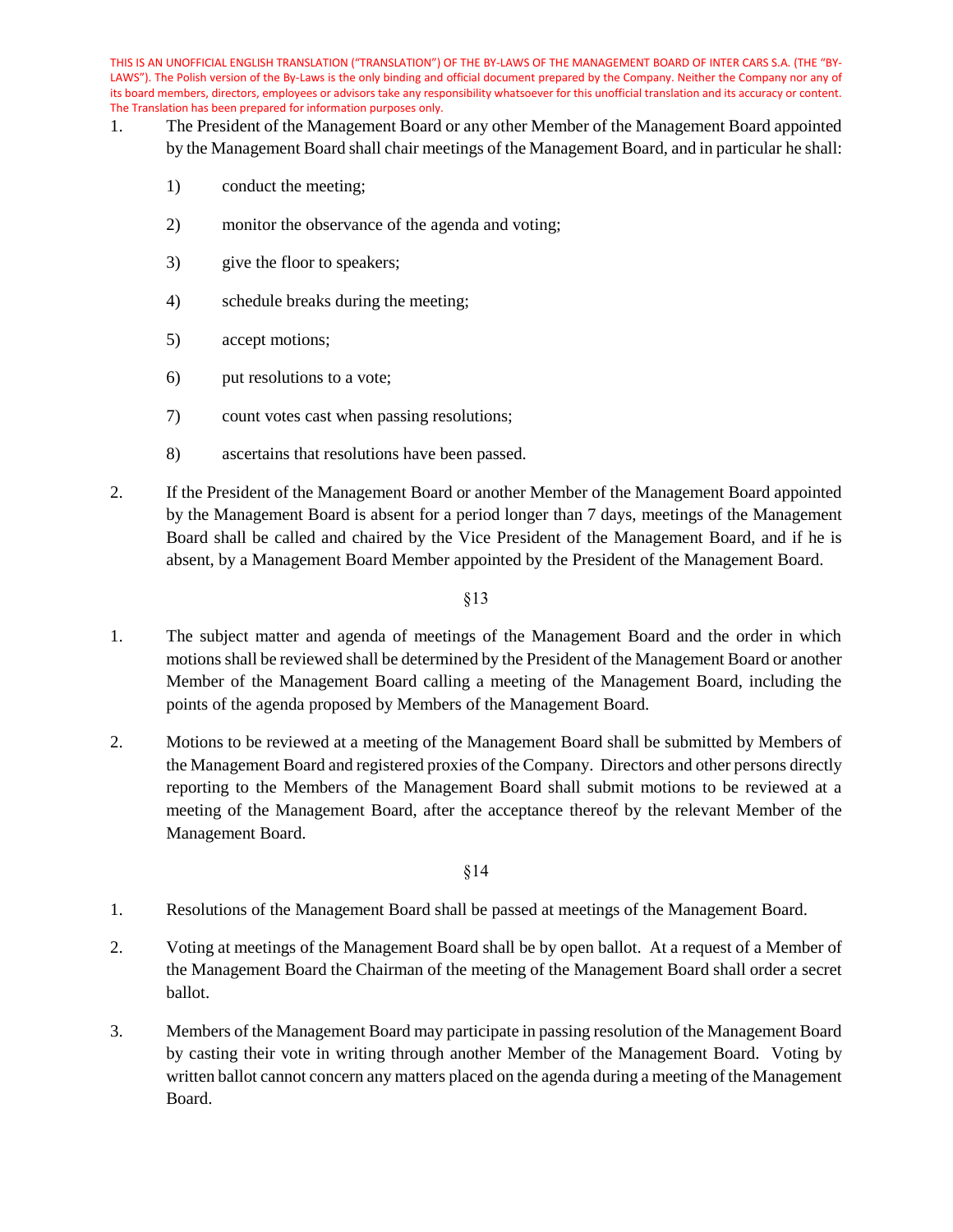- 1. The President of the Management Board or any other Member of the Management Board appointed by the Management Board shall chair meetings of the Management Board, and in particular he shall:
	- 1) conduct the meeting;
	- 2) monitor the observance of the agenda and voting;
	- 3) give the floor to speakers;
	- 4) schedule breaks during the meeting;
	- 5) accept motions;
	- 6) put resolutions to a vote;
	- 7) count votes cast when passing resolutions;
	- 8) ascertains that resolutions have been passed.
- 2. If the President of the Management Board or another Member of the Management Board appointed by the Management Board is absent for a period longer than 7 days, meetings of the Management Board shall be called and chaired by the Vice President of the Management Board, and if he is absent, by a Management Board Member appointed by the President of the Management Board.

§13

- 1. The subject matter and agenda of meetings of the Management Board and the order in which motions shall be reviewed shall be determined by the President of the Management Board or another Member of the Management Board calling a meeting of the Management Board, including the points of the agenda proposed by Members of the Management Board.
- 2. Motions to be reviewed at a meeting of the Management Board shall be submitted by Members of the Management Board and registered proxies of the Company. Directors and other persons directly reporting to the Members of the Management Board shall submit motions to be reviewed at a meeting of the Management Board, after the acceptance thereof by the relevant Member of the Management Board.

- 1. Resolutions of the Management Board shall be passed at meetings of the Management Board.
- 2. Voting at meetings of the Management Board shall be by open ballot. At a request of a Member of the Management Board the Chairman of the meeting of the Management Board shall order a secret ballot.
- 3. Members of the Management Board may participate in passing resolution of the Management Board by casting their vote in writing through another Member of the Management Board. Voting by written ballot cannot concern any matters placed on the agenda during a meeting of the Management Board.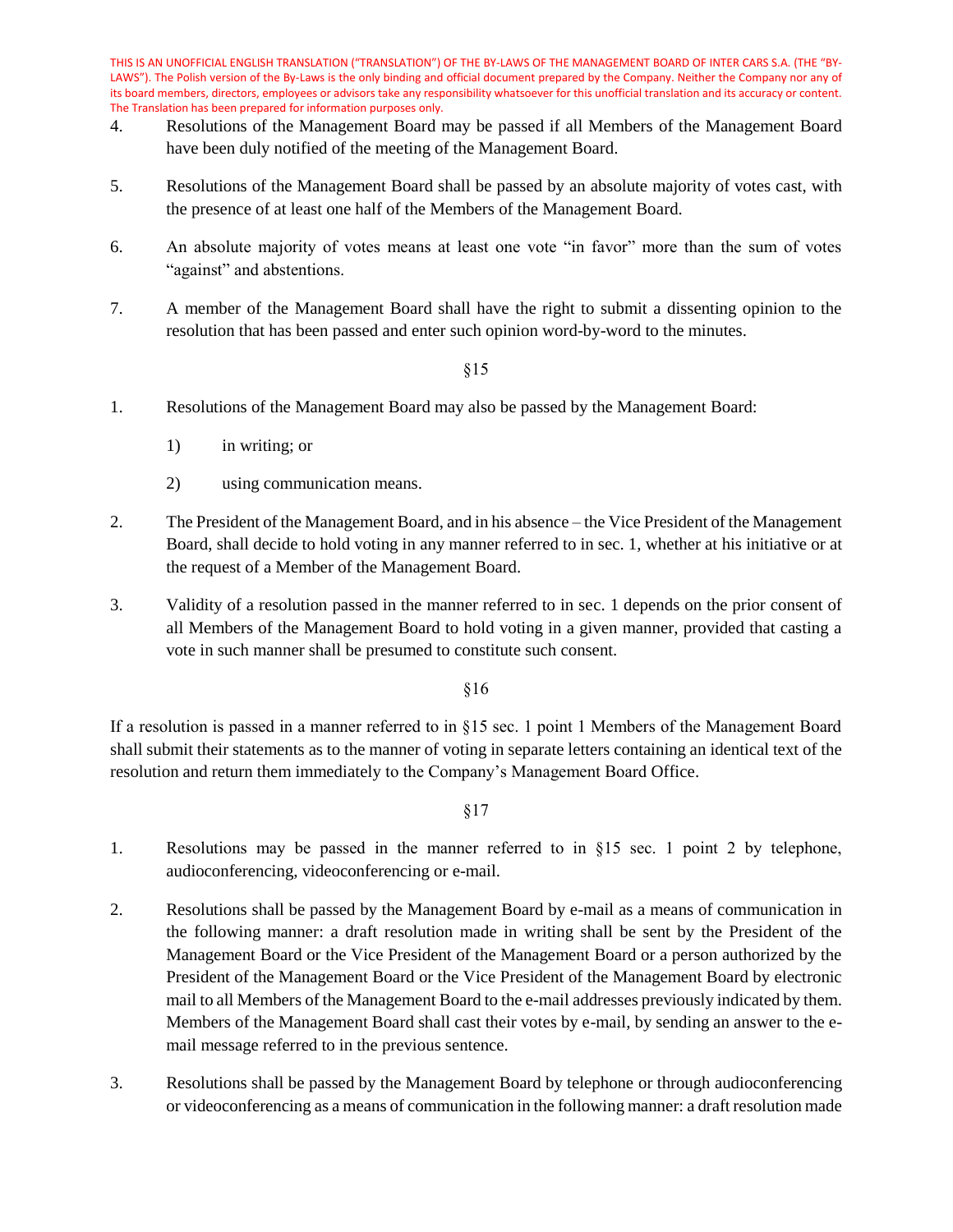- 4. Resolutions of the Management Board may be passed if all Members of the Management Board have been duly notified of the meeting of the Management Board.
- 5. Resolutions of the Management Board shall be passed by an absolute majority of votes cast, with the presence of at least one half of the Members of the Management Board.
- 6. An absolute majority of votes means at least one vote "in favor" more than the sum of votes "against" and abstentions.
- 7. A member of the Management Board shall have the right to submit a dissenting opinion to the resolution that has been passed and enter such opinion word-by-word to the minutes.

§15

- 1. Resolutions of the Management Board may also be passed by the Management Board:
	- 1) in writing; or
	- 2) using communication means.
- 2. The President of the Management Board, and in his absence the Vice President of the Management Board, shall decide to hold voting in any manner referred to in sec. 1, whether at his initiative or at the request of a Member of the Management Board.
- 3. Validity of a resolution passed in the manner referred to in sec. 1 depends on the prior consent of all Members of the Management Board to hold voting in a given manner, provided that casting a vote in such manner shall be presumed to constitute such consent.

§16

If a resolution is passed in a manner referred to in §15 sec. 1 point 1 Members of the Management Board shall submit their statements as to the manner of voting in separate letters containing an identical text of the resolution and return them immediately to the Company's Management Board Office.

- 1. Resolutions may be passed in the manner referred to in §15 sec. 1 point 2 by telephone, audioconferencing, videoconferencing or e-mail.
- 2. Resolutions shall be passed by the Management Board by e-mail as a means of communication in the following manner: a draft resolution made in writing shall be sent by the President of the Management Board or the Vice President of the Management Board or a person authorized by the President of the Management Board or the Vice President of the Management Board by electronic mail to all Members of the Management Board to the e-mail addresses previously indicated by them. Members of the Management Board shall cast their votes by e-mail, by sending an answer to the email message referred to in the previous sentence.
- 3. Resolutions shall be passed by the Management Board by telephone or through audioconferencing or videoconferencing as a means of communication in the following manner: a draft resolution made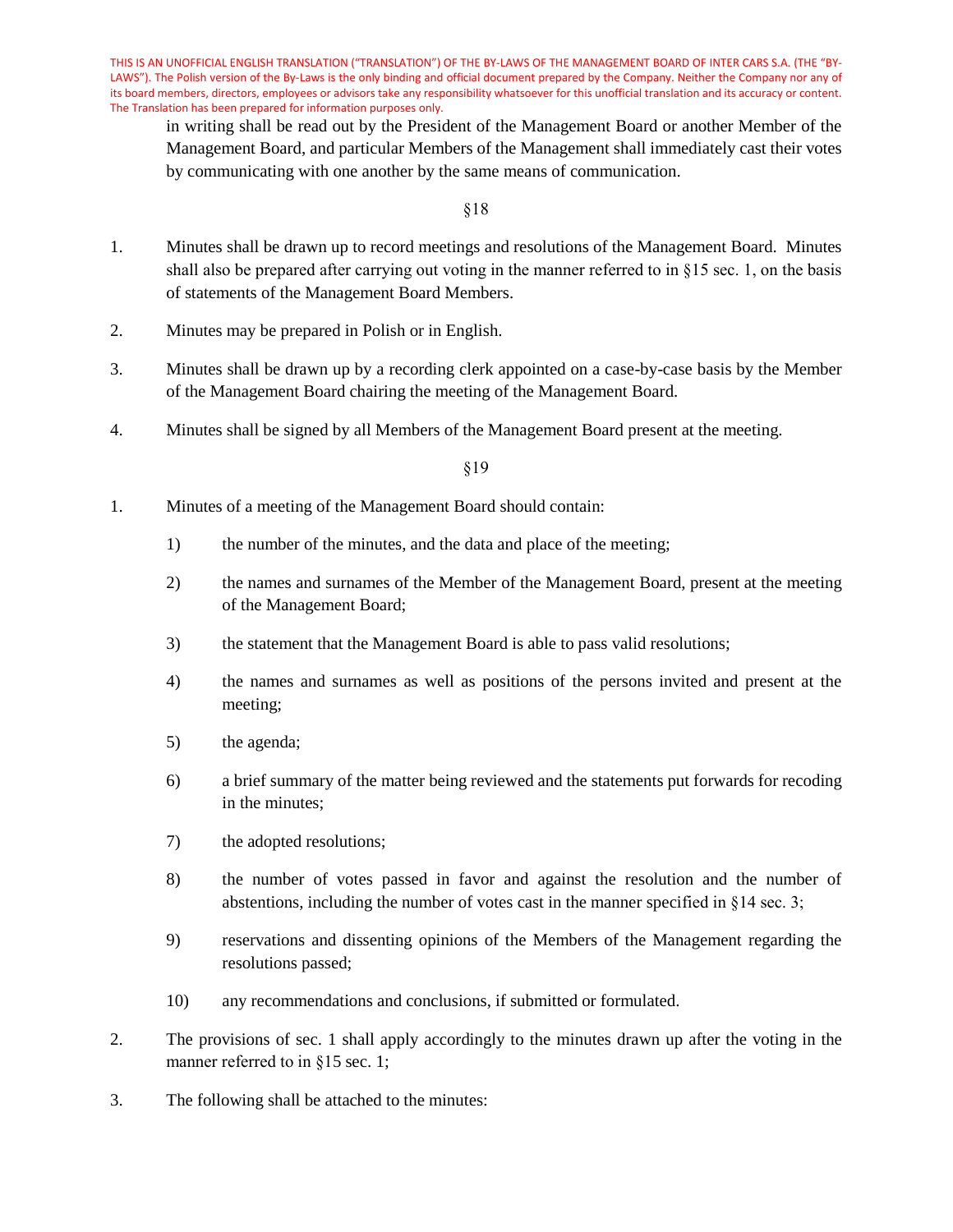in writing shall be read out by the President of the Management Board or another Member of the Management Board, and particular Members of the Management shall immediately cast their votes by communicating with one another by the same means of communication.

§18

- 1. Minutes shall be drawn up to record meetings and resolutions of the Management Board. Minutes shall also be prepared after carrying out voting in the manner referred to in §15 sec. 1, on the basis of statements of the Management Board Members.
- 2. Minutes may be prepared in Polish or in English.
- 3. Minutes shall be drawn up by a recording clerk appointed on a case-by-case basis by the Member of the Management Board chairing the meeting of the Management Board.
- 4. Minutes shall be signed by all Members of the Management Board present at the meeting.

- 1. Minutes of a meeting of the Management Board should contain:
	- 1) the number of the minutes, and the data and place of the meeting;
	- 2) the names and surnames of the Member of the Management Board, present at the meeting of the Management Board;
	- 3) the statement that the Management Board is able to pass valid resolutions;
	- 4) the names and surnames as well as positions of the persons invited and present at the meeting;
	- 5) the agenda;
	- 6) a brief summary of the matter being reviewed and the statements put forwards for recoding in the minutes;
	- 7) the adopted resolutions;
	- 8) the number of votes passed in favor and against the resolution and the number of abstentions, including the number of votes cast in the manner specified in §14 sec. 3;
	- 9) reservations and dissenting opinions of the Members of the Management regarding the resolutions passed;
	- 10) any recommendations and conclusions, if submitted or formulated.
- 2. The provisions of sec. 1 shall apply accordingly to the minutes drawn up after the voting in the manner referred to in §15 sec. 1;
- 3. The following shall be attached to the minutes: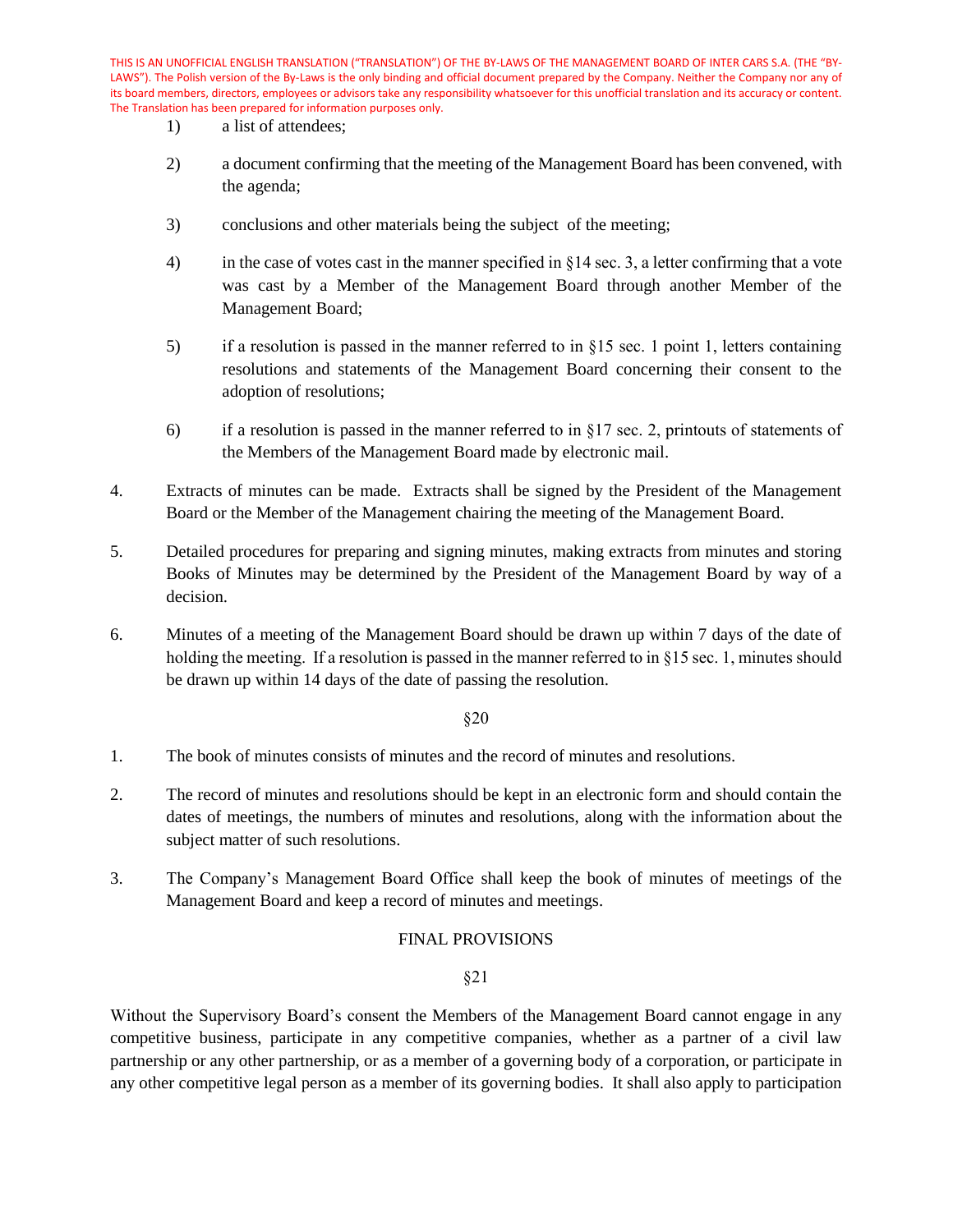- 1) a list of attendees;
- 2) a document confirming that the meeting of the Management Board has been convened, with the agenda;
- 3) conclusions and other materials being the subject of the meeting;
- 4) in the case of votes cast in the manner specified in §14 sec. 3, a letter confirming that a vote was cast by a Member of the Management Board through another Member of the Management Board;
- 5) if a resolution is passed in the manner referred to in §15 sec. 1 point 1, letters containing resolutions and statements of the Management Board concerning their consent to the adoption of resolutions;
- 6) if a resolution is passed in the manner referred to in  $\S17$  sec. 2, printouts of statements of the Members of the Management Board made by electronic mail.
- 4. Extracts of minutes can be made. Extracts shall be signed by the President of the Management Board or the Member of the Management chairing the meeting of the Management Board.
- 5. Detailed procedures for preparing and signing minutes, making extracts from minutes and storing Books of Minutes may be determined by the President of the Management Board by way of a decision.
- 6. Minutes of a meeting of the Management Board should be drawn up within 7 days of the date of holding the meeting. If a resolution is passed in the manner referred to in §15 sec. 1, minutes should be drawn up within 14 days of the date of passing the resolution.

§20

- 1. The book of minutes consists of minutes and the record of minutes and resolutions.
- 2. The record of minutes and resolutions should be kept in an electronic form and should contain the dates of meetings, the numbers of minutes and resolutions, along with the information about the subject matter of such resolutions.
- 3. The Company's Management Board Office shall keep the book of minutes of meetings of the Management Board and keep a record of minutes and meetings.

## FINAL PROVISIONS

§21

Without the Supervisory Board's consent the Members of the Management Board cannot engage in any competitive business, participate in any competitive companies, whether as a partner of a civil law partnership or any other partnership, or as a member of a governing body of a corporation, or participate in any other competitive legal person as a member of its governing bodies. It shall also apply to participation